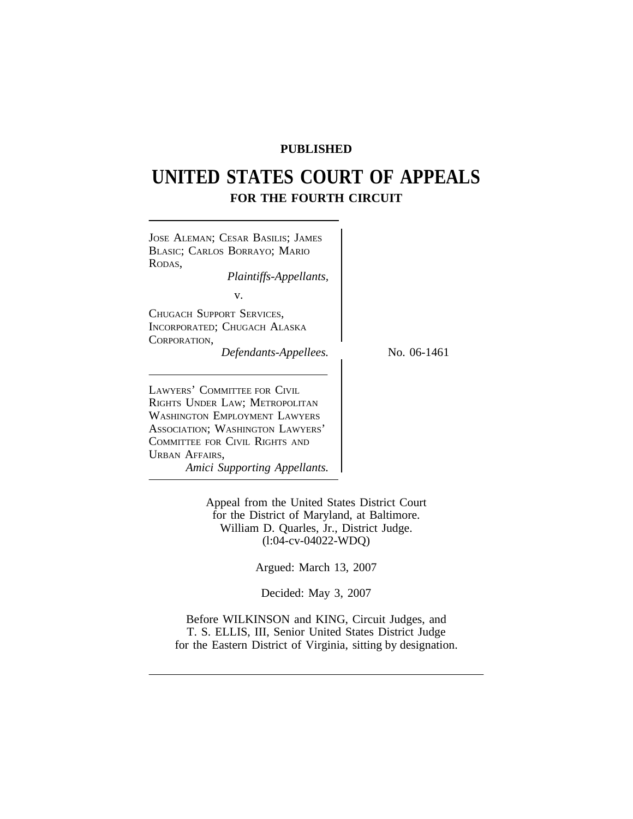## **PUBLISHED**

# **UNITED STATES COURT OF APPEALS FOR THE FOURTH CIRCUIT**

| JOSE ALEMAN; CESAR BASILIS; JAMES<br>BLASIC; CARLOS BORRAYO; MARIO<br>RODAS.<br>Plaintiffs-Appellants,                                                                                                                  |             |
|-------------------------------------------------------------------------------------------------------------------------------------------------------------------------------------------------------------------------|-------------|
| V.<br>CHUGACH SUPPORT SERVICES,<br>INCORPORATED; CHUGACH ALASKA<br>CORPORATION.<br>Defendants-Appellees.                                                                                                                | No. 06-1461 |
| LAWYERS' COMMITTEE FOR CIVIL<br>RIGHTS UNDER LAW; METROPOLITAN<br>WASHINGTON EMPLOYMENT LAWYERS<br>ASSOCIATION; WASHINGTON LAWYERS'<br>COMMITTEE FOR CIVIL RIGHTS AND<br>URBAN AFFAIRS,<br>Amici Supporting Appellants. |             |

Appeal from the United States District Court for the District of Maryland, at Baltimore. William D. Quarles, Jr., District Judge. (l:04-cv-04022-WDQ)

Argued: March 13, 2007

Decided: May 3, 2007

Before WILKINSON and KING, Circuit Judges, and T. S. ELLIS, III, Senior United States District Judge for the Eastern District of Virginia, sitting by designation.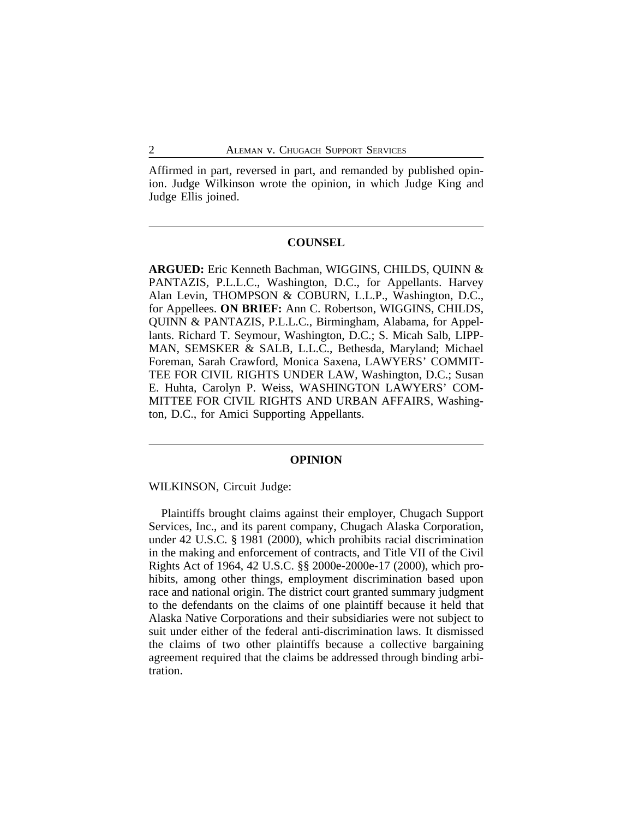Affirmed in part, reversed in part, and remanded by published opinion. Judge Wilkinson wrote the opinion, in which Judge King and Judge Ellis joined.

#### **COUNSEL**

**ARGUED:** Eric Kenneth Bachman, WIGGINS, CHILDS, QUINN & PANTAZIS, P.L.L.C., Washington, D.C., for Appellants. Harvey Alan Levin, THOMPSON & COBURN, L.L.P., Washington, D.C., for Appellees. **ON BRIEF:** Ann C. Robertson, WIGGINS, CHILDS, QUINN & PANTAZIS, P.L.L.C., Birmingham, Alabama, for Appellants. Richard T. Seymour, Washington, D.C.; S. Micah Salb, LIPP-MAN, SEMSKER & SALB, L.L.C., Bethesda, Maryland; Michael Foreman, Sarah Crawford, Monica Saxena, LAWYERS' COMMIT-TEE FOR CIVIL RIGHTS UNDER LAW, Washington, D.C.; Susan E. Huhta, Carolyn P. Weiss, WASHINGTON LAWYERS' COM-MITTEE FOR CIVIL RIGHTS AND URBAN AFFAIRS, Washington, D.C., for Amici Supporting Appellants.

### **OPINION**

WILKINSON, Circuit Judge:

Plaintiffs brought claims against their employer, Chugach Support Services, Inc., and its parent company, Chugach Alaska Corporation, under 42 U.S.C. § 1981 (2000), which prohibits racial discrimination in the making and enforcement of contracts, and Title VII of the Civil Rights Act of 1964, 42 U.S.C. §§ 2000e-2000e-17 (2000), which prohibits, among other things, employment discrimination based upon race and national origin. The district court granted summary judgment to the defendants on the claims of one plaintiff because it held that Alaska Native Corporations and their subsidiaries were not subject to suit under either of the federal anti-discrimination laws. It dismissed the claims of two other plaintiffs because a collective bargaining agreement required that the claims be addressed through binding arbitration.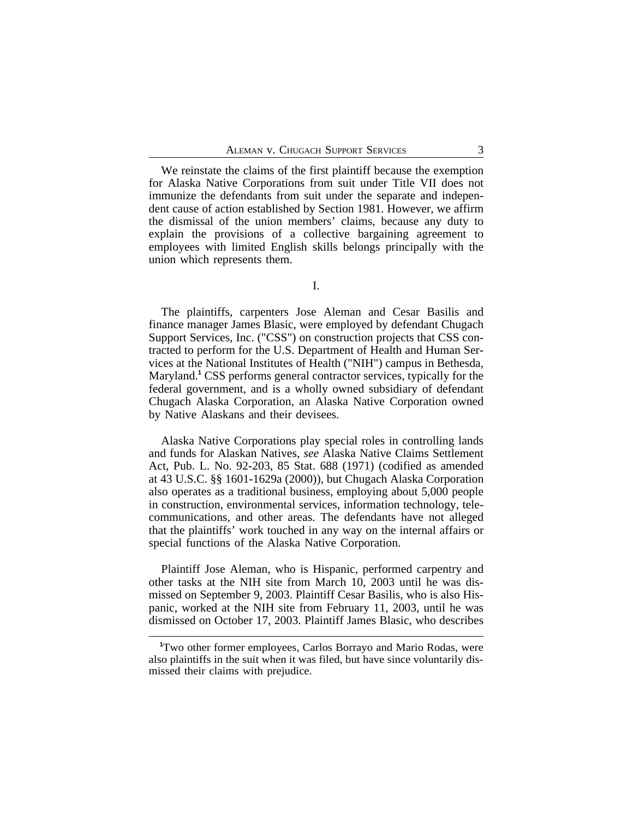We reinstate the claims of the first plaintiff because the exemption for Alaska Native Corporations from suit under Title VII does not immunize the defendants from suit under the separate and independent cause of action established by Section 1981. However, we affirm the dismissal of the union members' claims, because any duty to explain the provisions of a collective bargaining agreement to employees with limited English skills belongs principally with the union which represents them.

I.

The plaintiffs, carpenters Jose Aleman and Cesar Basilis and finance manager James Blasic, were employed by defendant Chugach Support Services, Inc. ("CSS") on construction projects that CSS contracted to perform for the U.S. Department of Health and Human Services at the National Institutes of Health ("NIH") campus in Bethesda, Maryland.**<sup>1</sup>** CSS performs general contractor services, typically for the federal government, and is a wholly owned subsidiary of defendant Chugach Alaska Corporation, an Alaska Native Corporation owned by Native Alaskans and their devisees.

Alaska Native Corporations play special roles in controlling lands and funds for Alaskan Natives, *see* Alaska Native Claims Settlement Act, Pub. L. No. 92-203, 85 Stat. 688 (1971) (codified as amended at 43 U.S.C. §§ 1601-1629a (2000)), but Chugach Alaska Corporation also operates as a traditional business, employing about 5,000 people in construction, environmental services, information technology, telecommunications, and other areas. The defendants have not alleged that the plaintiffs' work touched in any way on the internal affairs or special functions of the Alaska Native Corporation.

Plaintiff Jose Aleman, who is Hispanic, performed carpentry and other tasks at the NIH site from March 10, 2003 until he was dismissed on September 9, 2003. Plaintiff Cesar Basilis, who is also Hispanic, worked at the NIH site from February 11, 2003, until he was dismissed on October 17, 2003. Plaintiff James Blasic, who describes

**<sup>1</sup>**Two other former employees, Carlos Borrayo and Mario Rodas, were also plaintiffs in the suit when it was filed, but have since voluntarily dismissed their claims with prejudice.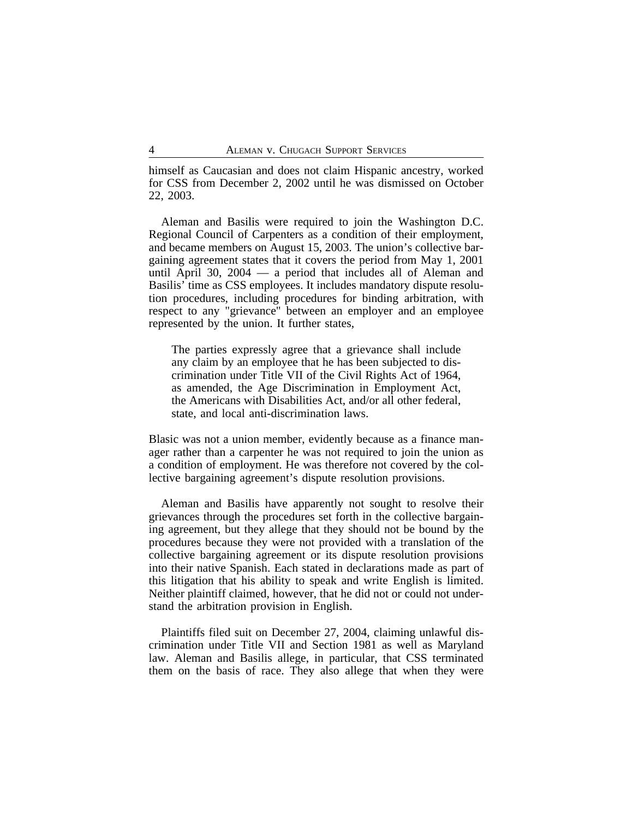himself as Caucasian and does not claim Hispanic ancestry, worked for CSS from December 2, 2002 until he was dismissed on October 22, 2003.

Aleman and Basilis were required to join the Washington D.C. Regional Council of Carpenters as a condition of their employment, and became members on August 15, 2003. The union's collective bargaining agreement states that it covers the period from May 1, 2001 until April 30, 2004 — a period that includes all of Aleman and Basilis' time as CSS employees. It includes mandatory dispute resolution procedures, including procedures for binding arbitration, with respect to any "grievance" between an employer and an employee represented by the union. It further states,

The parties expressly agree that a grievance shall include any claim by an employee that he has been subjected to discrimination under Title VII of the Civil Rights Act of 1964, as amended, the Age Discrimination in Employment Act, the Americans with Disabilities Act, and/or all other federal, state, and local anti-discrimination laws.

Blasic was not a union member, evidently because as a finance manager rather than a carpenter he was not required to join the union as a condition of employment. He was therefore not covered by the collective bargaining agreement's dispute resolution provisions.

Aleman and Basilis have apparently not sought to resolve their grievances through the procedures set forth in the collective bargaining agreement, but they allege that they should not be bound by the procedures because they were not provided with a translation of the collective bargaining agreement or its dispute resolution provisions into their native Spanish. Each stated in declarations made as part of this litigation that his ability to speak and write English is limited. Neither plaintiff claimed, however, that he did not or could not understand the arbitration provision in English.

Plaintiffs filed suit on December 27, 2004, claiming unlawful discrimination under Title VII and Section 1981 as well as Maryland law. Aleman and Basilis allege, in particular, that CSS terminated them on the basis of race. They also allege that when they were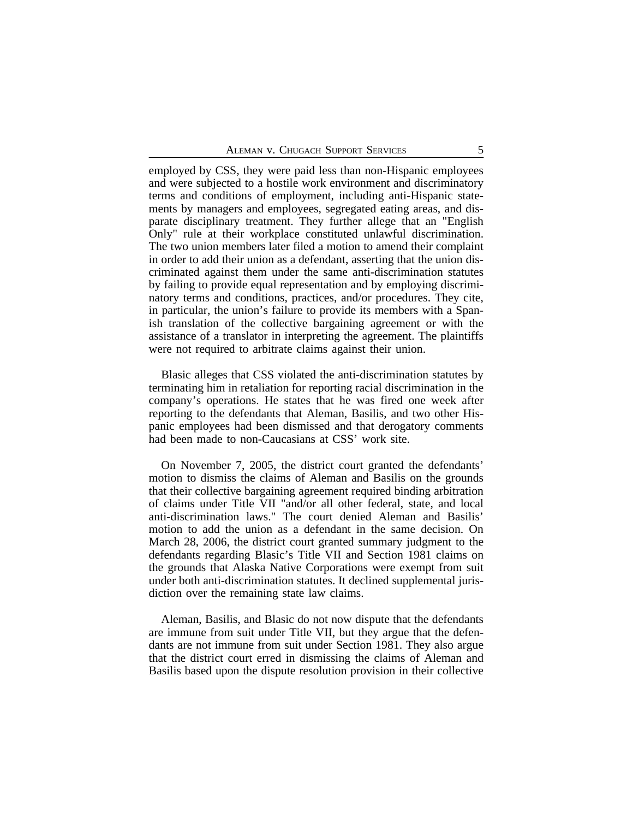employed by CSS, they were paid less than non-Hispanic employees and were subjected to a hostile work environment and discriminatory terms and conditions of employment, including anti-Hispanic statements by managers and employees, segregated eating areas, and disparate disciplinary treatment. They further allege that an "English Only" rule at their workplace constituted unlawful discrimination. The two union members later filed a motion to amend their complaint in order to add their union as a defendant, asserting that the union discriminated against them under the same anti-discrimination statutes by failing to provide equal representation and by employing discriminatory terms and conditions, practices, and/or procedures. They cite, in particular, the union's failure to provide its members with a Spanish translation of the collective bargaining agreement or with the assistance of a translator in interpreting the agreement. The plaintiffs were not required to arbitrate claims against their union.

Blasic alleges that CSS violated the anti-discrimination statutes by terminating him in retaliation for reporting racial discrimination in the company's operations. He states that he was fired one week after reporting to the defendants that Aleman, Basilis, and two other Hispanic employees had been dismissed and that derogatory comments had been made to non-Caucasians at CSS' work site.

On November 7, 2005, the district court granted the defendants' motion to dismiss the claims of Aleman and Basilis on the grounds that their collective bargaining agreement required binding arbitration of claims under Title VII "and/or all other federal, state, and local anti-discrimination laws." The court denied Aleman and Basilis' motion to add the union as a defendant in the same decision. On March 28, 2006, the district court granted summary judgment to the defendants regarding Blasic's Title VII and Section 1981 claims on the grounds that Alaska Native Corporations were exempt from suit under both anti-discrimination statutes. It declined supplemental jurisdiction over the remaining state law claims.

Aleman, Basilis, and Blasic do not now dispute that the defendants are immune from suit under Title VII, but they argue that the defendants are not immune from suit under Section 1981. They also argue that the district court erred in dismissing the claims of Aleman and Basilis based upon the dispute resolution provision in their collective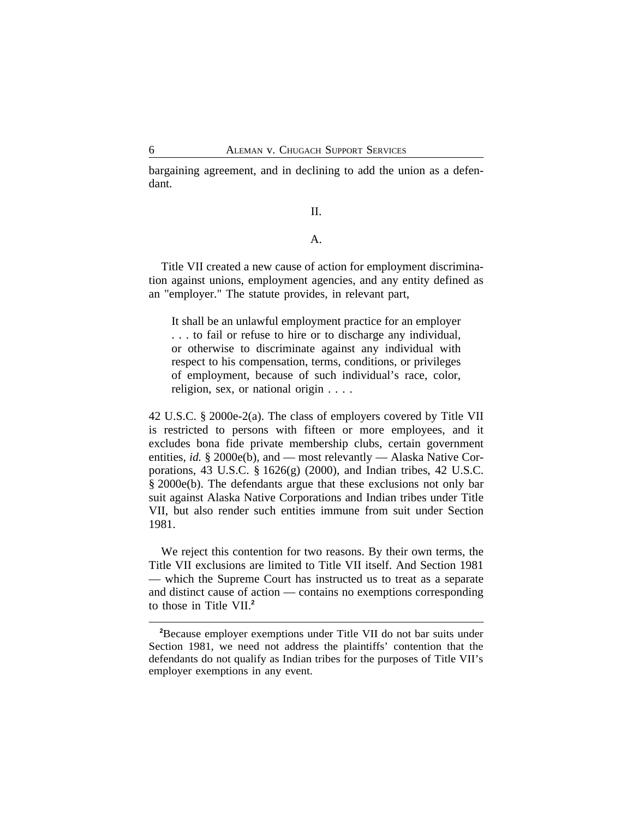bargaining agreement, and in declining to add the union as a defendant.

#### II.

## A.

Title VII created a new cause of action for employment discrimination against unions, employment agencies, and any entity defined as an "employer." The statute provides, in relevant part,

It shall be an unlawful employment practice for an employer . . . to fail or refuse to hire or to discharge any individual, or otherwise to discriminate against any individual with respect to his compensation, terms, conditions, or privileges of employment, because of such individual's race, color, religion, sex, or national origin . . . .

42 U.S.C. § 2000e-2(a). The class of employers covered by Title VII is restricted to persons with fifteen or more employees, and it excludes bona fide private membership clubs, certain government entities, *id.* § 2000e(b), and — most relevantly — Alaska Native Corporations, 43 U.S.C. § 1626(g) (2000), and Indian tribes, 42 U.S.C. § 2000e(b). The defendants argue that these exclusions not only bar suit against Alaska Native Corporations and Indian tribes under Title VII, but also render such entities immune from suit under Section 1981.

We reject this contention for two reasons. By their own terms, the Title VII exclusions are limited to Title VII itself. And Section 1981 — which the Supreme Court has instructed us to treat as a separate and distinct cause of action — contains no exemptions corresponding to those in Title VII.**<sup>2</sup>**

**<sup>2</sup>**Because employer exemptions under Title VII do not bar suits under Section 1981, we need not address the plaintiffs' contention that the defendants do not qualify as Indian tribes for the purposes of Title VII's employer exemptions in any event.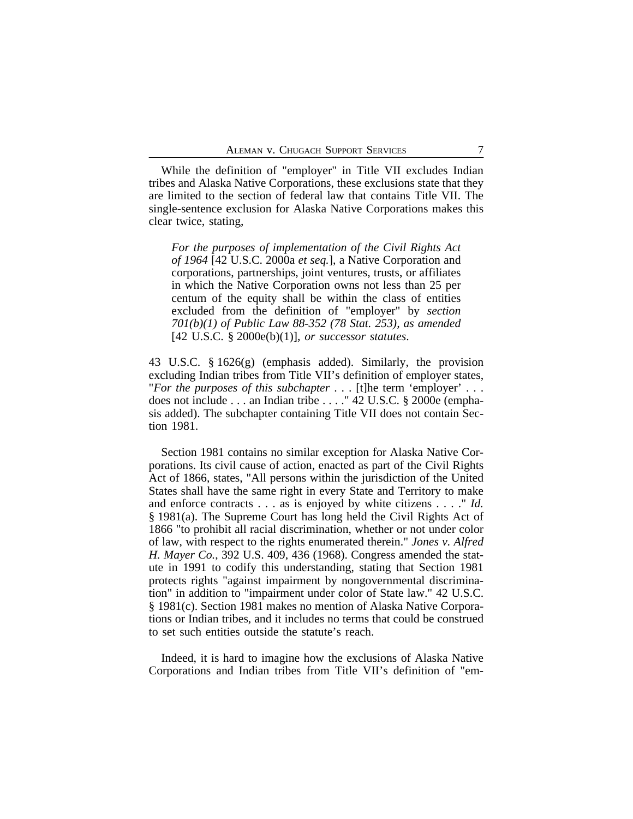While the definition of "employer" in Title VII excludes Indian tribes and Alaska Native Corporations, these exclusions state that they are limited to the section of federal law that contains Title VII. The single-sentence exclusion for Alaska Native Corporations makes this clear twice, stating,

*For the purposes of implementation of the Civil Rights Act of 1964* [42 U.S.C. 2000a *et seq.*], a Native Corporation and corporations, partnerships, joint ventures, trusts, or affiliates in which the Native Corporation owns not less than 25 per centum of the equity shall be within the class of entities excluded from the definition of "employer" by *section 701(b)(1) of Public Law 88-352 (78 Stat. 253), as amended* [42 U.S.C. § 2000e(b)(1)], *or successor statutes*.

43 U.S.C. § 1626(g) (emphasis added). Similarly, the provision excluding Indian tribes from Title VII's definition of employer states, "*For the purposes of this subchapter* . . . [t]he term 'employer' . . . does not include . . . an Indian tribe . . . ." 42 U.S.C. § 2000e (emphasis added). The subchapter containing Title VII does not contain Section 1981.

Section 1981 contains no similar exception for Alaska Native Corporations. Its civil cause of action, enacted as part of the Civil Rights Act of 1866, states, "All persons within the jurisdiction of the United States shall have the same right in every State and Territory to make and enforce contracts . . . as is enjoyed by white citizens . . . ." *Id.* § 1981(a). The Supreme Court has long held the Civil Rights Act of 1866 "to prohibit all racial discrimination, whether or not under color of law, with respect to the rights enumerated therein." *Jones v. Alfred H. Mayer Co.*, 392 U.S. 409, 436 (1968). Congress amended the statute in 1991 to codify this understanding, stating that Section 1981 protects rights "against impairment by nongovernmental discrimination" in addition to "impairment under color of State law." 42 U.S.C. § 1981(c). Section 1981 makes no mention of Alaska Native Corporations or Indian tribes, and it includes no terms that could be construed to set such entities outside the statute's reach.

Indeed, it is hard to imagine how the exclusions of Alaska Native Corporations and Indian tribes from Title VII's definition of "em-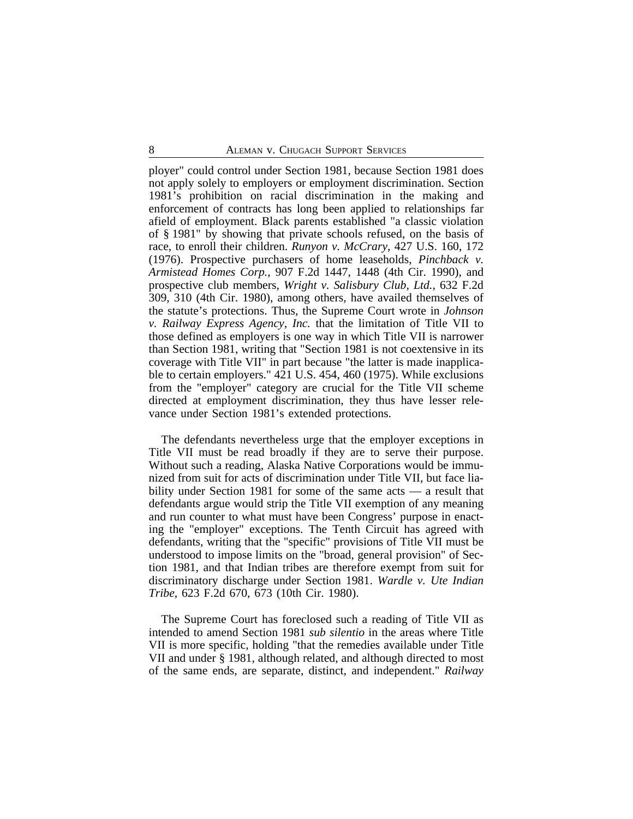ployer" could control under Section 1981, because Section 1981 does not apply solely to employers or employment discrimination. Section 1981's prohibition on racial discrimination in the making and enforcement of contracts has long been applied to relationships far afield of employment. Black parents established "a classic violation of § 1981" by showing that private schools refused, on the basis of race, to enroll their children. *Runyon v. McCrary*, 427 U.S. 160, 172 (1976). Prospective purchasers of home leaseholds, *Pinchback v. Armistead Homes Corp.*, 907 F.2d 1447, 1448 (4th Cir. 1990), and prospective club members, *Wright v. Salisbury Club, Ltd.*, 632 F.2d 309, 310 (4th Cir. 1980), among others, have availed themselves of the statute's protections. Thus, the Supreme Court wrote in *Johnson v. Railway Express Agency, Inc.* that the limitation of Title VII to those defined as employers is one way in which Title VII is narrower than Section 1981, writing that "Section 1981 is not coextensive in its coverage with Title VII" in part because "the latter is made inapplicable to certain employers." 421 U.S. 454, 460 (1975). While exclusions from the "employer" category are crucial for the Title VII scheme directed at employment discrimination, they thus have lesser relevance under Section 1981's extended protections.

The defendants nevertheless urge that the employer exceptions in Title VII must be read broadly if they are to serve their purpose. Without such a reading, Alaska Native Corporations would be immunized from suit for acts of discrimination under Title VII, but face liability under Section 1981 for some of the same acts — a result that defendants argue would strip the Title VII exemption of any meaning and run counter to what must have been Congress' purpose in enacting the "employer" exceptions. The Tenth Circuit has agreed with defendants, writing that the "specific" provisions of Title VII must be understood to impose limits on the "broad, general provision" of Section 1981, and that Indian tribes are therefore exempt from suit for discriminatory discharge under Section 1981. *Wardle v. Ute Indian Tribe*, 623 F.2d 670, 673 (10th Cir. 1980).

The Supreme Court has foreclosed such a reading of Title VII as intended to amend Section 1981 *sub silentio* in the areas where Title VII is more specific, holding "that the remedies available under Title VII and under § 1981, although related, and although directed to most of the same ends, are separate, distinct, and independent." *Railway*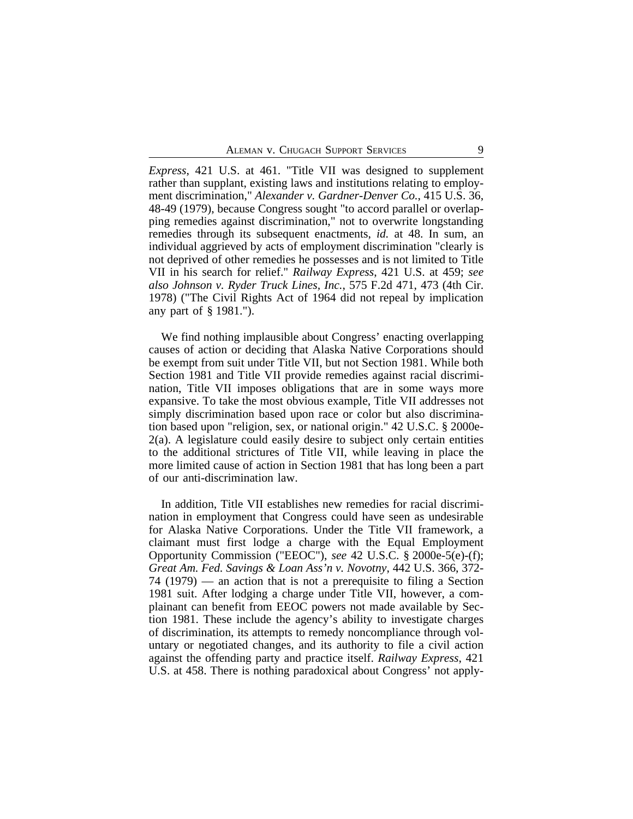*Express*, 421 U.S. at 461. "Title VII was designed to supplement rather than supplant, existing laws and institutions relating to employment discrimination," *Alexander v. Gardner-Denver Co.*, 415 U.S. 36, 48-49 (1979), because Congress sought "to accord parallel or overlapping remedies against discrimination," not to overwrite longstanding remedies through its subsequent enactments, *id.* at 48. In sum, an individual aggrieved by acts of employment discrimination "clearly is not deprived of other remedies he possesses and is not limited to Title VII in his search for relief." *Railway Express*, 421 U.S. at 459; *see also Johnson v. Ryder Truck Lines, Inc.*, 575 F.2d 471, 473 (4th Cir. 1978) ("The Civil Rights Act of 1964 did not repeal by implication any part of § 1981.").

We find nothing implausible about Congress' enacting overlapping causes of action or deciding that Alaska Native Corporations should be exempt from suit under Title VII, but not Section 1981. While both Section 1981 and Title VII provide remedies against racial discrimination, Title VII imposes obligations that are in some ways more expansive. To take the most obvious example, Title VII addresses not simply discrimination based upon race or color but also discrimination based upon "religion, sex, or national origin." 42 U.S.C. § 2000e-2(a). A legislature could easily desire to subject only certain entities to the additional strictures of Title VII, while leaving in place the more limited cause of action in Section 1981 that has long been a part of our anti-discrimination law.

In addition, Title VII establishes new remedies for racial discrimination in employment that Congress could have seen as undesirable for Alaska Native Corporations. Under the Title VII framework, a claimant must first lodge a charge with the Equal Employment Opportunity Commission ("EEOC"), *see* 42 U.S.C. § 2000e-5(e)-(f); *Great Am. Fed. Savings & Loan Ass'n v. Novotny*, 442 U.S. 366, 372- 74 (1979) — an action that is not a prerequisite to filing a Section 1981 suit. After lodging a charge under Title VII, however, a complainant can benefit from EEOC powers not made available by Section 1981. These include the agency's ability to investigate charges of discrimination, its attempts to remedy noncompliance through voluntary or negotiated changes, and its authority to file a civil action against the offending party and practice itself. *Railway Express*, 421 U.S. at 458. There is nothing paradoxical about Congress' not apply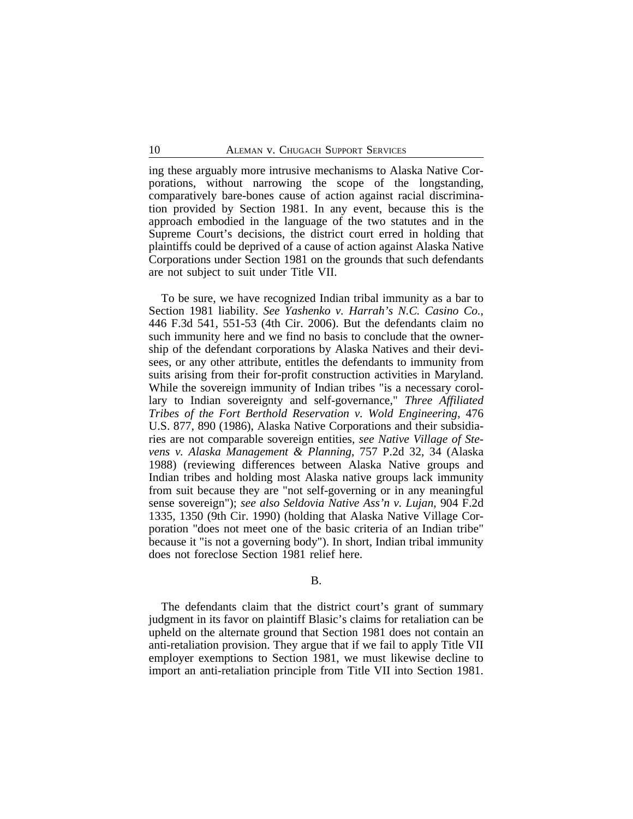ing these arguably more intrusive mechanisms to Alaska Native Corporations, without narrowing the scope of the longstanding, comparatively bare-bones cause of action against racial discrimination provided by Section 1981. In any event, because this is the approach embodied in the language of the two statutes and in the Supreme Court's decisions, the district court erred in holding that plaintiffs could be deprived of a cause of action against Alaska Native Corporations under Section 1981 on the grounds that such defendants are not subject to suit under Title VII.

To be sure, we have recognized Indian tribal immunity as a bar to Section 1981 liability. *See Yashenko v. Harrah's N.C. Casino Co.*, 446 F.3d 541, 551-53 (4th Cir. 2006). But the defendants claim no such immunity here and we find no basis to conclude that the ownership of the defendant corporations by Alaska Natives and their devisees, or any other attribute, entitles the defendants to immunity from suits arising from their for-profit construction activities in Maryland. While the sovereign immunity of Indian tribes "is a necessary corollary to Indian sovereignty and self-governance," *Three Affiliated Tribes of the Fort Berthold Reservation v. Wold Engineering*, 476 U.S. 877, 890 (1986), Alaska Native Corporations and their subsidiaries are not comparable sovereign entities, *see Native Village of Stevens v. Alaska Management & Planning*, 757 P.2d 32, 34 (Alaska 1988) (reviewing differences between Alaska Native groups and Indian tribes and holding most Alaska native groups lack immunity from suit because they are "not self-governing or in any meaningful sense sovereign"); *see also Seldovia Native Ass'n v. Lujan*, 904 F.2d 1335, 1350 (9th Cir. 1990) (holding that Alaska Native Village Corporation "does not meet one of the basic criteria of an Indian tribe" because it "is not a governing body"). In short, Indian tribal immunity does not foreclose Section 1981 relief here.

#### B.

The defendants claim that the district court's grant of summary judgment in its favor on plaintiff Blasic's claims for retaliation can be upheld on the alternate ground that Section 1981 does not contain an anti-retaliation provision. They argue that if we fail to apply Title VII employer exemptions to Section 1981, we must likewise decline to import an anti-retaliation principle from Title VII into Section 1981.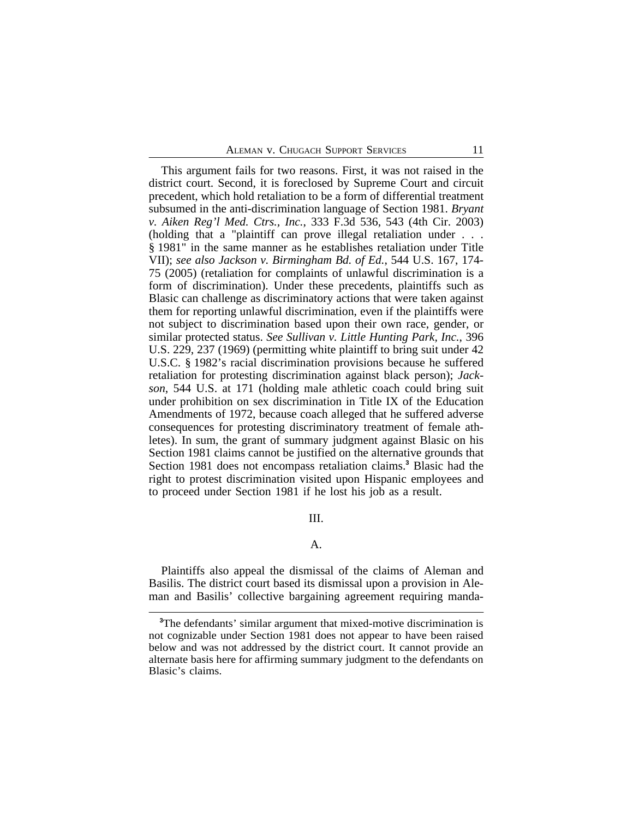This argument fails for two reasons. First, it was not raised in the district court. Second, it is foreclosed by Supreme Court and circuit precedent, which hold retaliation to be a form of differential treatment subsumed in the anti-discrimination language of Section 1981. *Bryant v. Aiken Reg'l Med. Ctrs., Inc.*, 333 F.3d 536, 543 (4th Cir. 2003) (holding that a "plaintiff can prove illegal retaliation under . . . § 1981" in the same manner as he establishes retaliation under Title VII); *see also Jackson v. Birmingham Bd. of Ed.*, 544 U.S. 167, 174- 75 (2005) (retaliation for complaints of unlawful discrimination is a form of discrimination). Under these precedents, plaintiffs such as Blasic can challenge as discriminatory actions that were taken against them for reporting unlawful discrimination, even if the plaintiffs were not subject to discrimination based upon their own race, gender, or similar protected status. *See Sullivan v. Little Hunting Park, Inc.*, 396 U.S. 229, 237 (1969) (permitting white plaintiff to bring suit under 42 U.S.C. § 1982's racial discrimination provisions because he suffered retaliation for protesting discrimination against black person); *Jackson*, 544 U.S. at 171 (holding male athletic coach could bring suit under prohibition on sex discrimination in Title IX of the Education Amendments of 1972, because coach alleged that he suffered adverse consequences for protesting discriminatory treatment of female athletes). In sum, the grant of summary judgment against Blasic on his Section 1981 claims cannot be justified on the alternative grounds that Section 1981 does not encompass retaliation claims.**<sup>3</sup>** Blasic had the right to protest discrimination visited upon Hispanic employees and to proceed under Section 1981 if he lost his job as a result.

III.

A.

Plaintiffs also appeal the dismissal of the claims of Aleman and Basilis. The district court based its dismissal upon a provision in Aleman and Basilis' collective bargaining agreement requiring manda-

**<sup>3</sup>**The defendants' similar argument that mixed-motive discrimination is not cognizable under Section 1981 does not appear to have been raised below and was not addressed by the district court. It cannot provide an alternate basis here for affirming summary judgment to the defendants on Blasic's claims.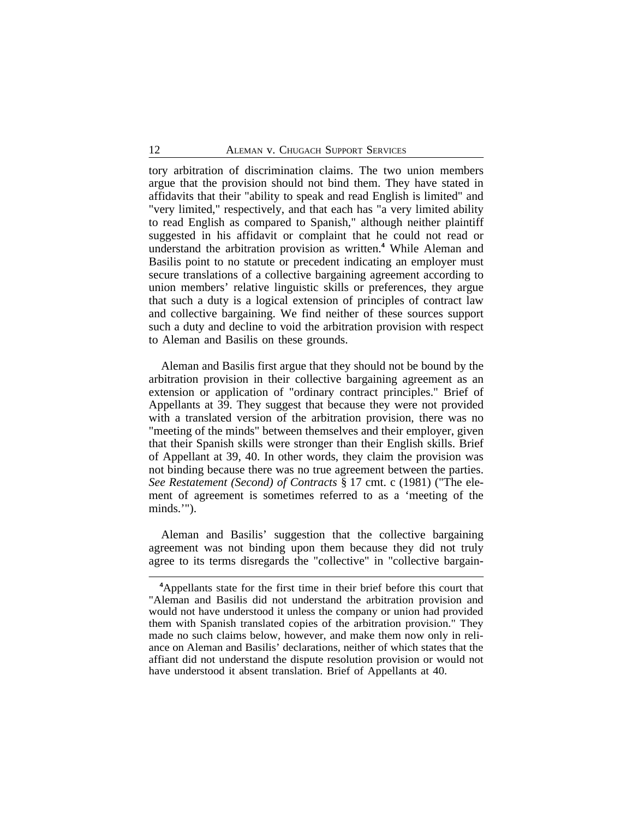tory arbitration of discrimination claims. The two union members argue that the provision should not bind them. They have stated in affidavits that their "ability to speak and read English is limited" and "very limited," respectively, and that each has "a very limited ability to read English as compared to Spanish," although neither plaintiff suggested in his affidavit or complaint that he could not read or understand the arbitration provision as written.**<sup>4</sup>** While Aleman and Basilis point to no statute or precedent indicating an employer must secure translations of a collective bargaining agreement according to union members' relative linguistic skills or preferences, they argue that such a duty is a logical extension of principles of contract law and collective bargaining. We find neither of these sources support such a duty and decline to void the arbitration provision with respect to Aleman and Basilis on these grounds.

Aleman and Basilis first argue that they should not be bound by the arbitration provision in their collective bargaining agreement as an extension or application of "ordinary contract principles." Brief of Appellants at 39. They suggest that because they were not provided with a translated version of the arbitration provision, there was no "meeting of the minds" between themselves and their employer, given that their Spanish skills were stronger than their English skills. Brief of Appellant at 39, 40. In other words, they claim the provision was not binding because there was no true agreement between the parties. *See Restatement (Second) of Contracts* § 17 cmt. c (1981) ("The element of agreement is sometimes referred to as a 'meeting of the minds.'").

Aleman and Basilis' suggestion that the collective bargaining agreement was not binding upon them because they did not truly agree to its terms disregards the "collective" in "collective bargain-

**<sup>4</sup>**Appellants state for the first time in their brief before this court that "Aleman and Basilis did not understand the arbitration provision and would not have understood it unless the company or union had provided them with Spanish translated copies of the arbitration provision." They made no such claims below, however, and make them now only in reliance on Aleman and Basilis' declarations, neither of which states that the affiant did not understand the dispute resolution provision or would not have understood it absent translation. Brief of Appellants at 40.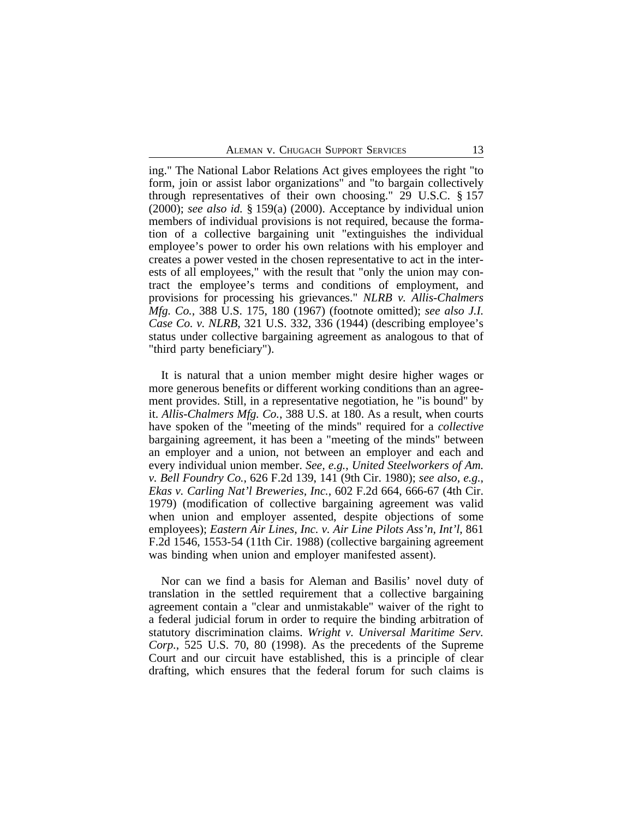ing." The National Labor Relations Act gives employees the right "to form, join or assist labor organizations" and "to bargain collectively through representatives of their own choosing." 29 U.S.C. § 157 (2000); *see also id.* § 159(a) (2000). Acceptance by individual union members of individual provisions is not required, because the formation of a collective bargaining unit "extinguishes the individual employee's power to order his own relations with his employer and creates a power vested in the chosen representative to act in the interests of all employees," with the result that "only the union may contract the employee's terms and conditions of employment, and provisions for processing his grievances." *NLRB v. Allis-Chalmers Mfg. Co.*, 388 U.S. 175, 180 (1967) (footnote omitted); *see also J.I. Case Co. v. NLRB*, 321 U.S. 332, 336 (1944) (describing employee's status under collective bargaining agreement as analogous to that of "third party beneficiary").

It is natural that a union member might desire higher wages or more generous benefits or different working conditions than an agreement provides. Still, in a representative negotiation, he "is bound" by it. *Allis-Chalmers Mfg. Co.*, 388 U.S. at 180. As a result, when courts have spoken of the "meeting of the minds" required for a *collective* bargaining agreement, it has been a "meeting of the minds" between an employer and a union, not between an employer and each and every individual union member. *See, e.g.*, *United Steelworkers of Am. v. Bell Foundry Co.*, 626 F.2d 139, 141 (9th Cir. 1980); *see also, e.g.*, *Ekas v. Carling Nat'l Breweries, Inc.*, 602 F.2d 664, 666-67 (4th Cir. 1979) (modification of collective bargaining agreement was valid when union and employer assented, despite objections of some employees); *Eastern Air Lines, Inc. v. Air Line Pilots Ass'n, Int'l*, 861 F.2d 1546, 1553-54 (11th Cir. 1988) (collective bargaining agreement was binding when union and employer manifested assent).

Nor can we find a basis for Aleman and Basilis' novel duty of translation in the settled requirement that a collective bargaining agreement contain a "clear and unmistakable" waiver of the right to a federal judicial forum in order to require the binding arbitration of statutory discrimination claims. *Wright v. Universal Maritime Serv. Corp.*, 525 U.S. 70, 80 (1998). As the precedents of the Supreme Court and our circuit have established, this is a principle of clear drafting, which ensures that the federal forum for such claims is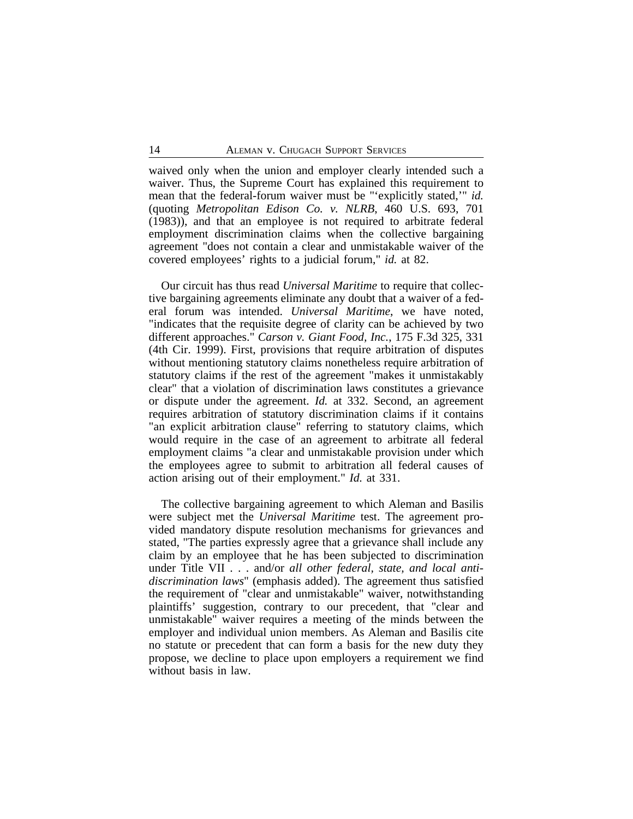waived only when the union and employer clearly intended such a waiver. Thus, the Supreme Court has explained this requirement to mean that the federal-forum waiver must be "'explicitly stated,'" *id.* (quoting *Metropolitan Edison Co. v. NLRB*, 460 U.S. 693, 701 (1983)), and that an employee is not required to arbitrate federal employment discrimination claims when the collective bargaining agreement "does not contain a clear and unmistakable waiver of the covered employees' rights to a judicial forum," *id.* at 82.

Our circuit has thus read *Universal Maritime* to require that collective bargaining agreements eliminate any doubt that a waiver of a federal forum was intended. *Universal Maritime*, we have noted, "indicates that the requisite degree of clarity can be achieved by two different approaches." *Carson v. Giant Food, Inc.*, 175 F.3d 325, 331 (4th Cir. 1999). First, provisions that require arbitration of disputes without mentioning statutory claims nonetheless require arbitration of statutory claims if the rest of the agreement "makes it unmistakably clear" that a violation of discrimination laws constitutes a grievance or dispute under the agreement. *Id.* at 332. Second, an agreement requires arbitration of statutory discrimination claims if it contains "an explicit arbitration clause" referring to statutory claims, which would require in the case of an agreement to arbitrate all federal employment claims "a clear and unmistakable provision under which the employees agree to submit to arbitration all federal causes of action arising out of their employment." *Id.* at 331.

The collective bargaining agreement to which Aleman and Basilis were subject met the *Universal Maritime* test. The agreement provided mandatory dispute resolution mechanisms for grievances and stated, "The parties expressly agree that a grievance shall include any claim by an employee that he has been subjected to discrimination under Title VII . . . and/or *all other federal, state, and local antidiscrimination laws*" (emphasis added). The agreement thus satisfied the requirement of "clear and unmistakable" waiver, notwithstanding plaintiffs' suggestion, contrary to our precedent, that "clear and unmistakable" waiver requires a meeting of the minds between the employer and individual union members. As Aleman and Basilis cite no statute or precedent that can form a basis for the new duty they propose, we decline to place upon employers a requirement we find without basis in law.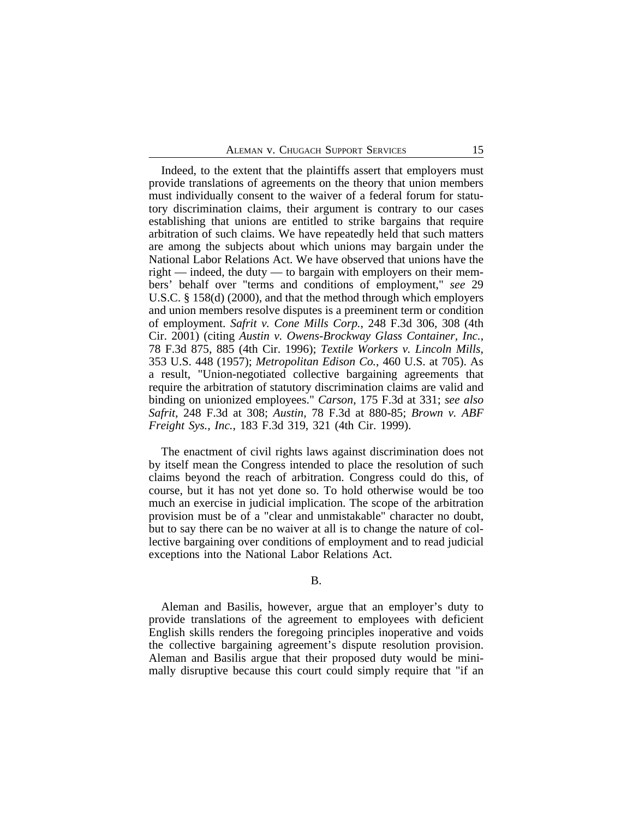Indeed, to the extent that the plaintiffs assert that employers must provide translations of agreements on the theory that union members must individually consent to the waiver of a federal forum for statutory discrimination claims, their argument is contrary to our cases establishing that unions are entitled to strike bargains that require arbitration of such claims. We have repeatedly held that such matters are among the subjects about which unions may bargain under the National Labor Relations Act. We have observed that unions have the right — indeed, the duty — to bargain with employers on their members' behalf over "terms and conditions of employment," *see* 29 U.S.C. § 158(d) (2000), and that the method through which employers and union members resolve disputes is a preeminent term or condition of employment. *Safrit v. Cone Mills Corp.*, 248 F.3d 306, 308 (4th Cir. 2001) (citing *Austin v. Owens-Brockway Glass Container, Inc.*, 78 F.3d 875, 885 (4th Cir. 1996); *Textile Workers v. Lincoln Mills*, 353 U.S. 448 (1957); *Metropolitan Edison Co.*, 460 U.S. at 705). As a result, "Union-negotiated collective bargaining agreements that require the arbitration of statutory discrimination claims are valid and binding on unionized employees." *Carson*, 175 F.3d at 331; *see also Safrit*, 248 F.3d at 308; *Austin*, 78 F.3d at 880-85; *Brown v. ABF Freight Sys., Inc.*, 183 F.3d 319, 321 (4th Cir. 1999).

The enactment of civil rights laws against discrimination does not by itself mean the Congress intended to place the resolution of such claims beyond the reach of arbitration. Congress could do this, of course, but it has not yet done so. To hold otherwise would be too much an exercise in judicial implication. The scope of the arbitration provision must be of a "clear and unmistakable" character no doubt, but to say there can be no waiver at all is to change the nature of collective bargaining over conditions of employment and to read judicial exceptions into the National Labor Relations Act.

B.

Aleman and Basilis, however, argue that an employer's duty to provide translations of the agreement to employees with deficient English skills renders the foregoing principles inoperative and voids the collective bargaining agreement's dispute resolution provision. Aleman and Basilis argue that their proposed duty would be minimally disruptive because this court could simply require that "if an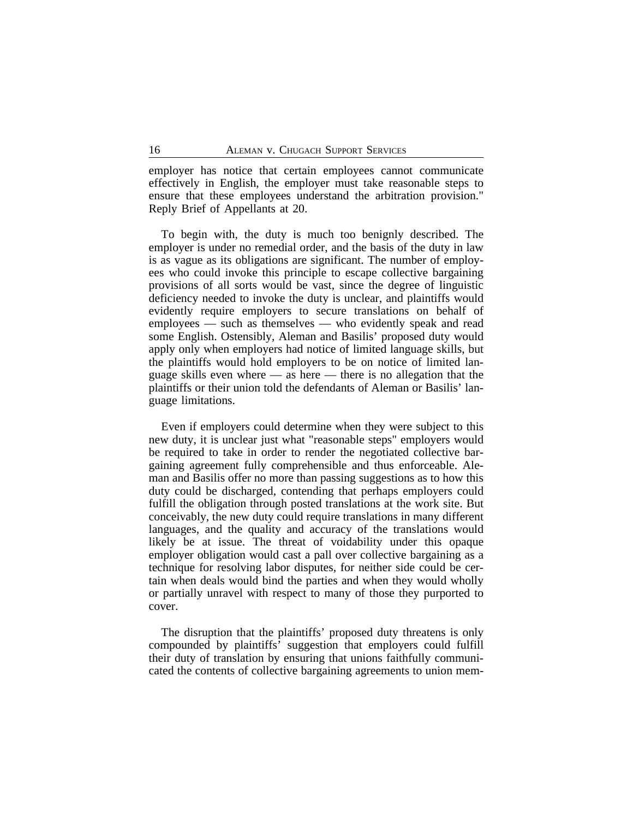employer has notice that certain employees cannot communicate effectively in English, the employer must take reasonable steps to ensure that these employees understand the arbitration provision." Reply Brief of Appellants at 20.

To begin with, the duty is much too benignly described. The employer is under no remedial order, and the basis of the duty in law is as vague as its obligations are significant. The number of employees who could invoke this principle to escape collective bargaining provisions of all sorts would be vast, since the degree of linguistic deficiency needed to invoke the duty is unclear, and plaintiffs would evidently require employers to secure translations on behalf of employees — such as themselves — who evidently speak and read some English. Ostensibly, Aleman and Basilis' proposed duty would apply only when employers had notice of limited language skills, but the plaintiffs would hold employers to be on notice of limited language skills even where — as here — there is no allegation that the plaintiffs or their union told the defendants of Aleman or Basilis' language limitations.

Even if employers could determine when they were subject to this new duty, it is unclear just what "reasonable steps" employers would be required to take in order to render the negotiated collective bargaining agreement fully comprehensible and thus enforceable. Aleman and Basilis offer no more than passing suggestions as to how this duty could be discharged, contending that perhaps employers could fulfill the obligation through posted translations at the work site. But conceivably, the new duty could require translations in many different languages, and the quality and accuracy of the translations would likely be at issue. The threat of voidability under this opaque employer obligation would cast a pall over collective bargaining as a technique for resolving labor disputes, for neither side could be certain when deals would bind the parties and when they would wholly or partially unravel with respect to many of those they purported to cover.

The disruption that the plaintiffs' proposed duty threatens is only compounded by plaintiffs' suggestion that employers could fulfill their duty of translation by ensuring that unions faithfully communicated the contents of collective bargaining agreements to union mem-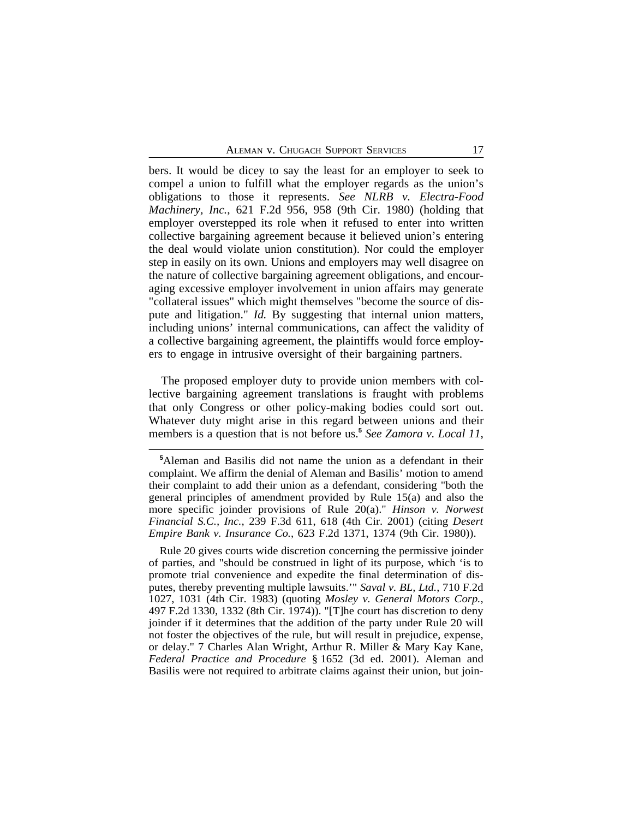bers. It would be dicey to say the least for an employer to seek to compel a union to fulfill what the employer regards as the union's obligations to those it represents. *See NLRB v. Electra-Food Machinery, Inc.*, 621 F.2d 956, 958 (9th Cir. 1980) (holding that employer overstepped its role when it refused to enter into written collective bargaining agreement because it believed union's entering the deal would violate union constitution). Nor could the employer step in easily on its own. Unions and employers may well disagree on the nature of collective bargaining agreement obligations, and encouraging excessive employer involvement in union affairs may generate "collateral issues" which might themselves "become the source of dispute and litigation." *Id.* By suggesting that internal union matters, including unions' internal communications, can affect the validity of a collective bargaining agreement, the plaintiffs would force employers to engage in intrusive oversight of their bargaining partners.

The proposed employer duty to provide union members with collective bargaining agreement translations is fraught with problems that only Congress or other policy-making bodies could sort out. Whatever duty might arise in this regard between unions and their members is a question that is not before us.**<sup>5</sup>** *See Zamora v. Local 11*,

Rule 20 gives courts wide discretion concerning the permissive joinder of parties, and "should be construed in light of its purpose, which 'is to promote trial convenience and expedite the final determination of disputes, thereby preventing multiple lawsuits.'" *Saval v. BL, Ltd.*, 710 F.2d 1027, 1031 (4th Cir. 1983) (quoting *Mosley v. General Motors Corp.*, 497 F.2d 1330, 1332 (8th Cir. 1974)). "[T]he court has discretion to deny joinder if it determines that the addition of the party under Rule 20 will not foster the objectives of the rule, but will result in prejudice, expense, or delay." 7 Charles Alan Wright, Arthur R. Miller & Mary Kay Kane, *Federal Practice and Procedure* § 1652 (3d ed. 2001). Aleman and Basilis were not required to arbitrate claims against their union, but join-

**<sup>5</sup>**Aleman and Basilis did not name the union as a defendant in their complaint. We affirm the denial of Aleman and Basilis' motion to amend their complaint to add their union as a defendant, considering "both the general principles of amendment provided by Rule 15(a) and also the more specific joinder provisions of Rule 20(a)." *Hinson v. Norwest Financial S.C., Inc.*, 239 F.3d 611, 618 (4th Cir. 2001) (citing *Desert Empire Bank v. Insurance Co.*, 623 F.2d 1371, 1374 (9th Cir. 1980)).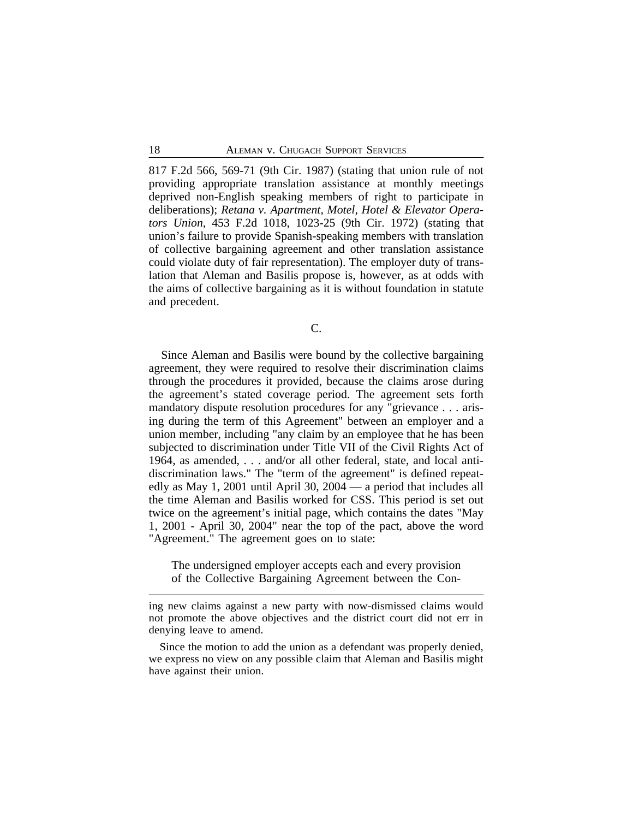817 F.2d 566, 569-71 (9th Cir. 1987) (stating that union rule of not providing appropriate translation assistance at monthly meetings deprived non-English speaking members of right to participate in deliberations); *Retana v. Apartment, Motel, Hotel & Elevator Operators Union*, 453 F.2d 1018, 1023-25 (9th Cir. 1972) (stating that union's failure to provide Spanish-speaking members with translation of collective bargaining agreement and other translation assistance could violate duty of fair representation). The employer duty of translation that Aleman and Basilis propose is, however, as at odds with the aims of collective bargaining as it is without foundation in statute and precedent.

C.

Since Aleman and Basilis were bound by the collective bargaining agreement, they were required to resolve their discrimination claims through the procedures it provided, because the claims arose during the agreement's stated coverage period. The agreement sets forth mandatory dispute resolution procedures for any "grievance . . . arising during the term of this Agreement" between an employer and a union member, including "any claim by an employee that he has been subjected to discrimination under Title VII of the Civil Rights Act of 1964, as amended, . . . and/or all other federal, state, and local antidiscrimination laws." The "term of the agreement" is defined repeatedly as May 1, 2001 until April 30, 2004 — a period that includes all the time Aleman and Basilis worked for CSS. This period is set out twice on the agreement's initial page, which contains the dates "May 1, 2001 - April 30, 2004" near the top of the pact, above the word "Agreement." The agreement goes on to state:

The undersigned employer accepts each and every provision of the Collective Bargaining Agreement between the Con-

Since the motion to add the union as a defendant was properly denied, we express no view on any possible claim that Aleman and Basilis might have against their union.

ing new claims against a new party with now-dismissed claims would not promote the above objectives and the district court did not err in denying leave to amend.